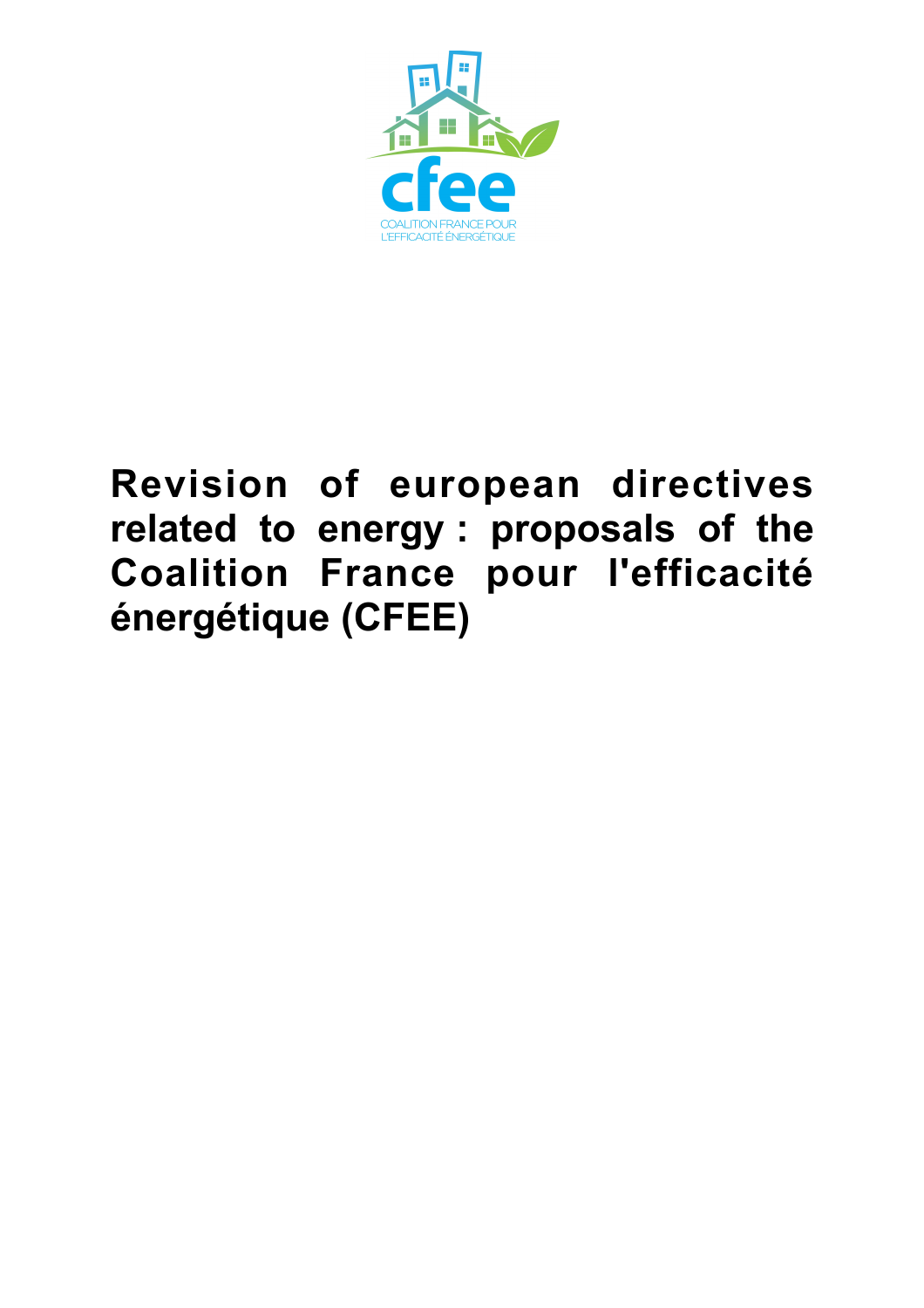

# **Revision of european directives related to energy : proposals of the Coalition France pour l'efficacité énergétique (CFEE)**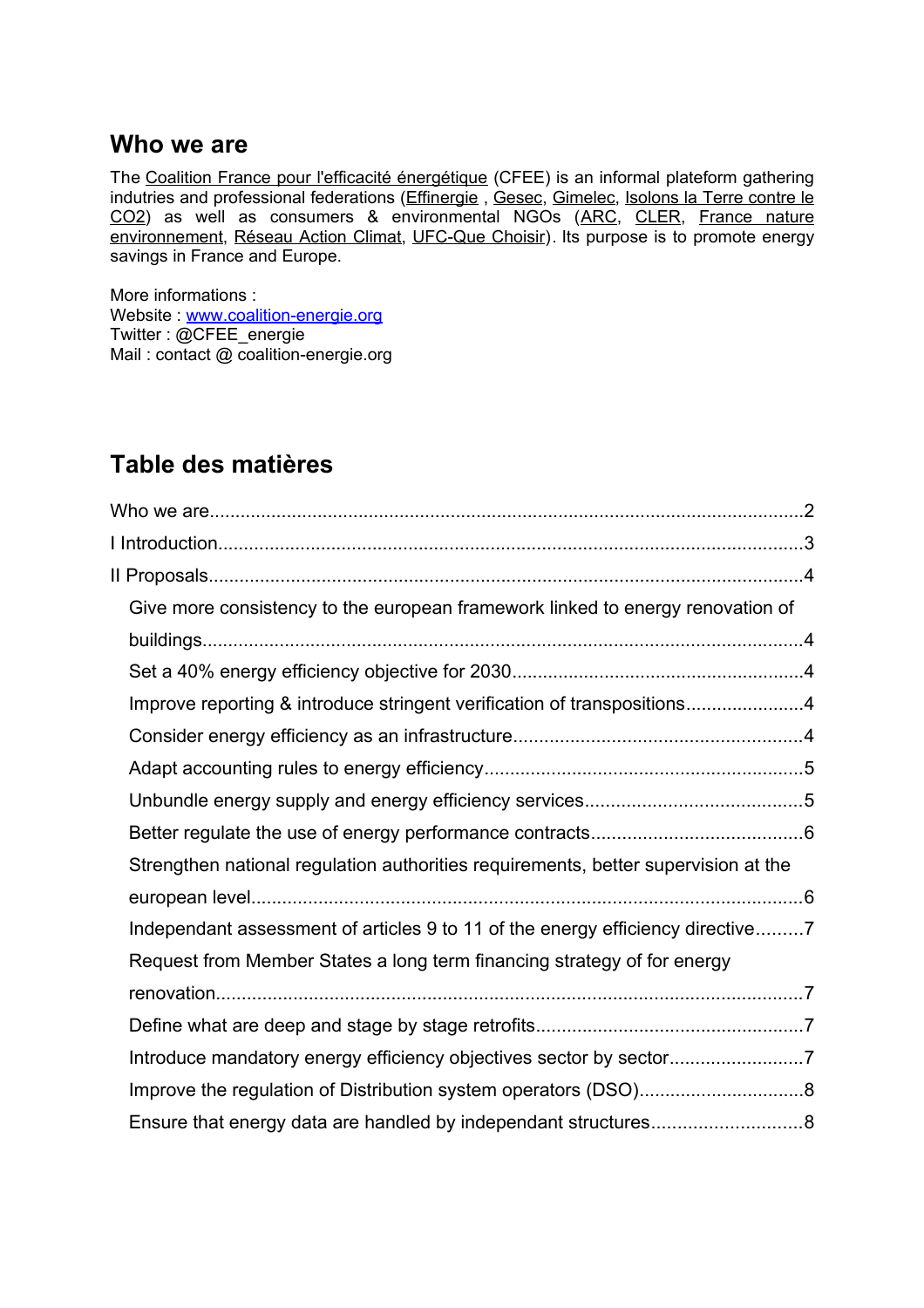## **Who we are**

The [Coalition France pour l'efficacité énergétique](http://www.coalition-energie.org/) (CFEE) is an informal plateform gathering indutries and professional federations (Effinergie, [Gesec,](http://www.gesec.fr/) [Gimelec,](http://www.gimelec.fr/) [Isolons la Terre contre le](http://www.isolonslaterre.fr/) [CO2\)](http://www.isolonslaterre.fr/) as well as consumers & environmental NGOs [\(ARC,](http://www.unarc.asso.fr/) [CLER,](http://www.cler.org/) [France nature](http://www.fne.asso.fr/) [environnement,](http://www.fne.asso.fr/) [Réseau Action Climat,](http://www.rac-f.org/) [UFC-Que Choisir\)](http://www.quechoisir.org/). Its purpose is to promote energy savings in France and Europe.

More informations : Website : [www.coalition-energie.org](http://www.coalition-energie.org/) Twitter : @CFEE\_energie Mail: contact @ coalition-energie.org

## **Table des matières**

| Give more consistency to the european framework linked to energy renovation of     |  |
|------------------------------------------------------------------------------------|--|
|                                                                                    |  |
|                                                                                    |  |
| Improve reporting & introduce stringent verification of transpositions4            |  |
|                                                                                    |  |
|                                                                                    |  |
|                                                                                    |  |
|                                                                                    |  |
| Strengthen national regulation authorities requirements, better supervision at the |  |
|                                                                                    |  |
| Independant assessment of articles 9 to 11 of the energy efficiency directive7     |  |
| Request from Member States a long term financing strategy of for energy            |  |
|                                                                                    |  |
|                                                                                    |  |
|                                                                                    |  |
|                                                                                    |  |
|                                                                                    |  |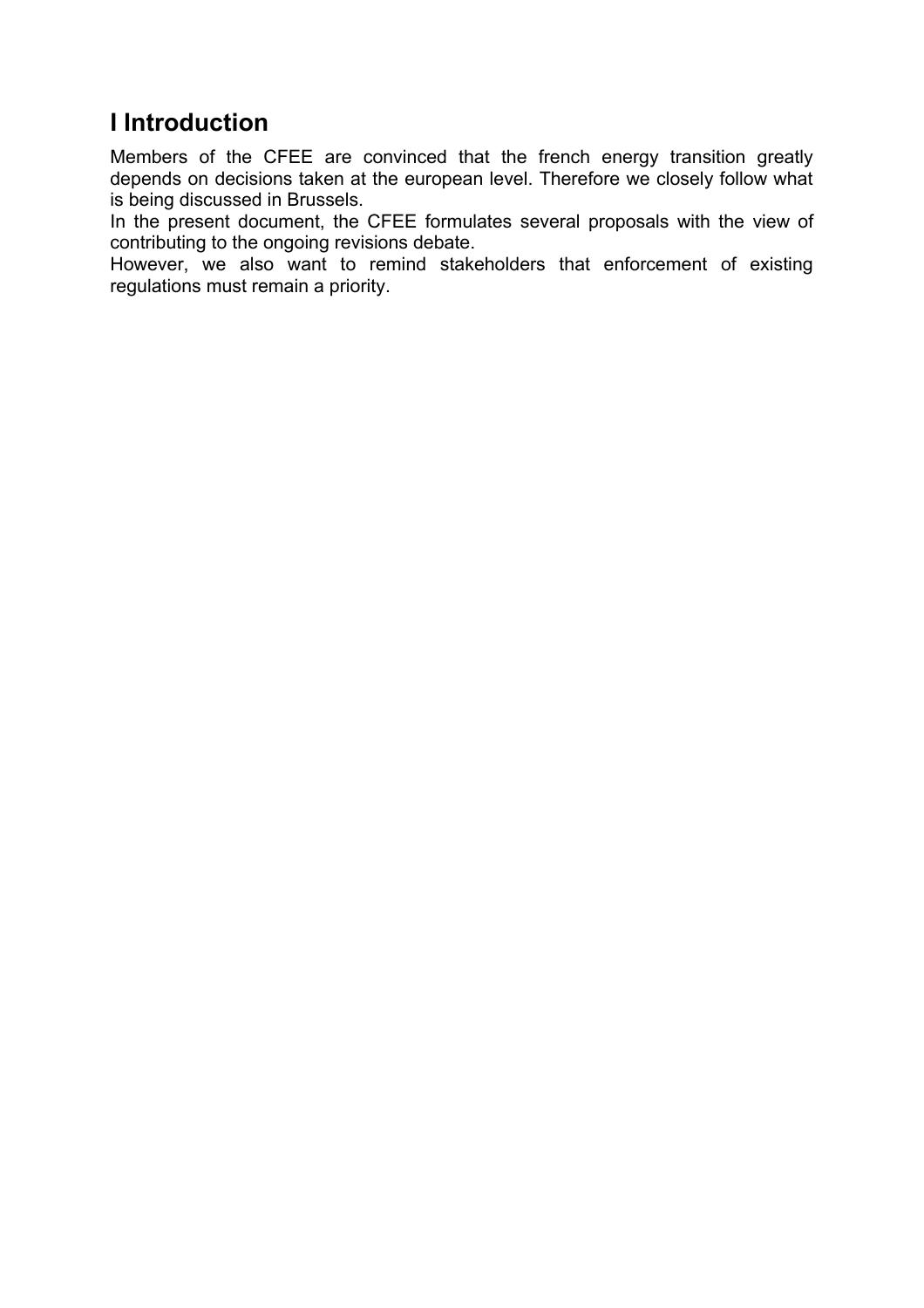# **I Introduction**

Members of the CFEE are convinced that the french energy transition greatly depends on decisions taken at the european level. Therefore we closely follow what is being discussed in Brussels.

In the present document, the CFEE formulates several proposals with the view of contributing to the ongoing revisions debate.

However, we also want to remind stakeholders that enforcement of existing regulations must remain a priority.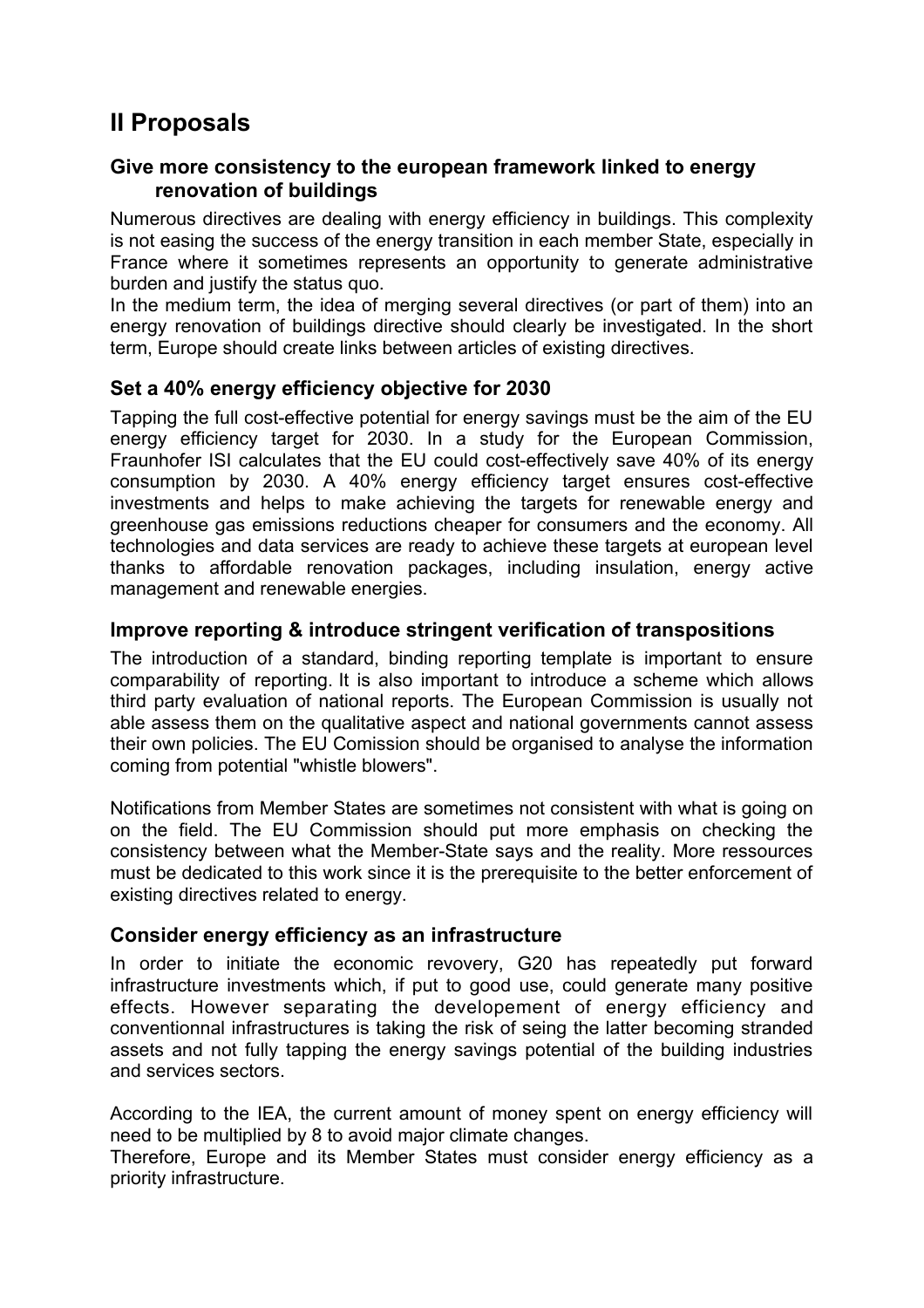# **II Proposals**

#### **Give more consistency to the european framework linked to energy renovation of buildings**

Numerous directives are dealing with energy efficiency in buildings. This complexity is not easing the success of the energy transition in each member State, especially in France where it sometimes represents an opportunity to generate administrative burden and justify the status quo.

In the medium term, the idea of merging several directives (or part of them) into an energy renovation of buildings directive should clearly be investigated. In the short term, Europe should create links between articles of existing directives.

### **Set a 40% energy efficiency objective for 2030**

Tapping the full cost-effective potential for energy savings must be the aim of the EU energy efficiency target for 2030. In a study for the European Commission, Fraunhofer ISI calculates that the EU could cost-effectively save 40% of its energy consumption by 2030. A 40% energy efficiency target ensures cost-effective investments and helps to make achieving the targets for renewable energy and greenhouse gas emissions reductions cheaper for consumers and the economy. All technologies and data services are ready to achieve these targets at european level thanks to affordable renovation packages, including insulation, energy active management and renewable energies.

#### **Improve reporting & introduce stringent verification of transpositions**

The introduction of a standard, binding reporting template is important to ensure comparability of reporting. It is also important to introduce a scheme which allows third party evaluation of national reports. The European Commission is usually not able assess them on the qualitative aspect and national governments cannot assess their own policies. The EU Comission should be organised to analyse the information coming from potential "whistle blowers".

Notifications from Member States are sometimes not consistent with what is going on on the field. The EU Commission should put more emphasis on checking the consistency between what the Member-State says and the reality. More ressources must be dedicated to this work since it is the prerequisite to the better enforcement of existing directives related to energy.

#### **Consider energy efficiency as an infrastructure**

In order to initiate the economic revovery, G20 has repeatedly put forward infrastructure investments which, if put to good use, could generate many positive effects. However separating the developement of energy efficiency and conventionnal infrastructures is taking the risk of seing the latter becoming stranded assets and not fully tapping the energy savings potential of the building industries and services sectors.

According to the IEA, the current amount of money spent on energy efficiency will need to be multiplied by 8 to avoid major climate changes.

Therefore, Europe and its Member States must consider energy efficiency as a priority infrastructure.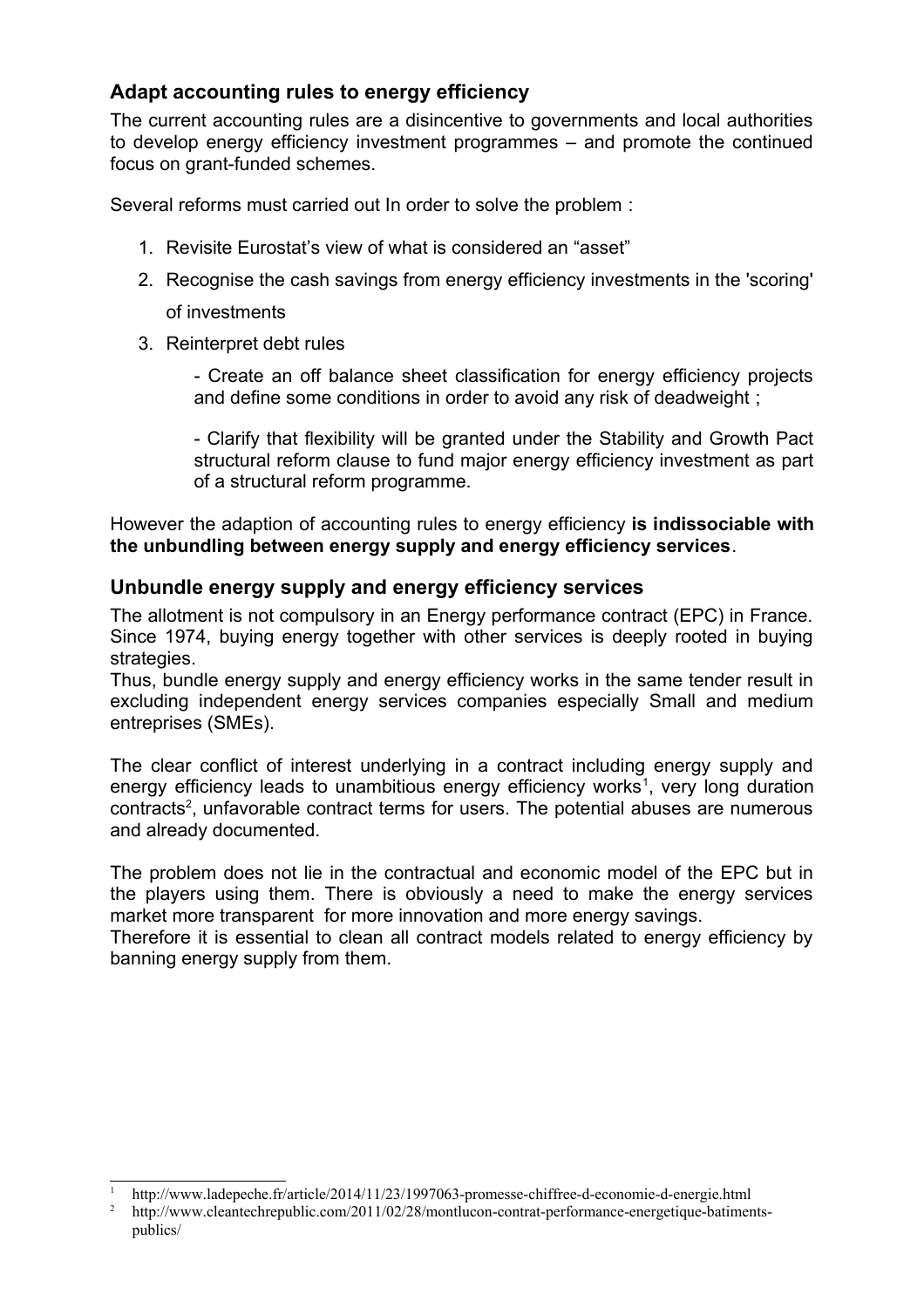## **Adapt accounting rules to energy efficiency**

The current accounting rules are a disincentive to governments and local authorities to develop energy efficiency investment programmes – and promote the continued focus on grant-funded schemes.

Several reforms must carried out In order to solve the problem :

- 1. Revisite Eurostat's view of what is considered an "asset"
- 2. Recognise the cash savings from energy efficiency investments in the 'scoring' of investments
- 3. Reinterpret debt rules

- Create an off balance sheet classification for energy efficiency projects and define some conditions in order to avoid any risk of deadweight ;

- Clarify that flexibility will be granted under the Stability and Growth Pact structural reform clause to fund major energy efficiency investment as part of a structural reform programme.

However the adaption of accounting rules to energy efficiency **is indissociable with the unbundling between energy supply and energy efficiency services**.

#### **Unbundle energy supply and energy efficiency services**

The allotment is not compulsory in an Energy performance contract (EPC) in France. Since 1974, buying energy together with other services is deeply rooted in buying strategies.

Thus, bundle energy supply and energy efficiency works in the same tender result in excluding independent energy services companies especially Small and medium entreprises (SMEs).

The clear conflict of interest underlying in a contract including energy supply and energy efficiency leads to unambitious energy efficiency works<sup>[1](#page-4-0)</sup>, very long duration contracts<sup>[2](#page-4-1)</sup>, unfavorable contract terms for users. The potential abuses are numerous and already documented.

The problem does not lie in the contractual and economic model of the EPC but in the players using them. There is obviously a need to make the energy services market more transparent for more innovation and more energy savings.

Therefore it is essential to clean all contract models related to energy efficiency by banning energy supply from them.

<span id="page-4-0"></span><sup>1</sup> http://www.ladepeche.fr/article/2014/11/23/1997063-promesse-chiffree-d-economie-d-energie.html

<span id="page-4-1"></span><sup>2</sup> http://www.cleantechrepublic.com/2011/02/28/montlucon-contrat-performance-energetique-batimentspublics/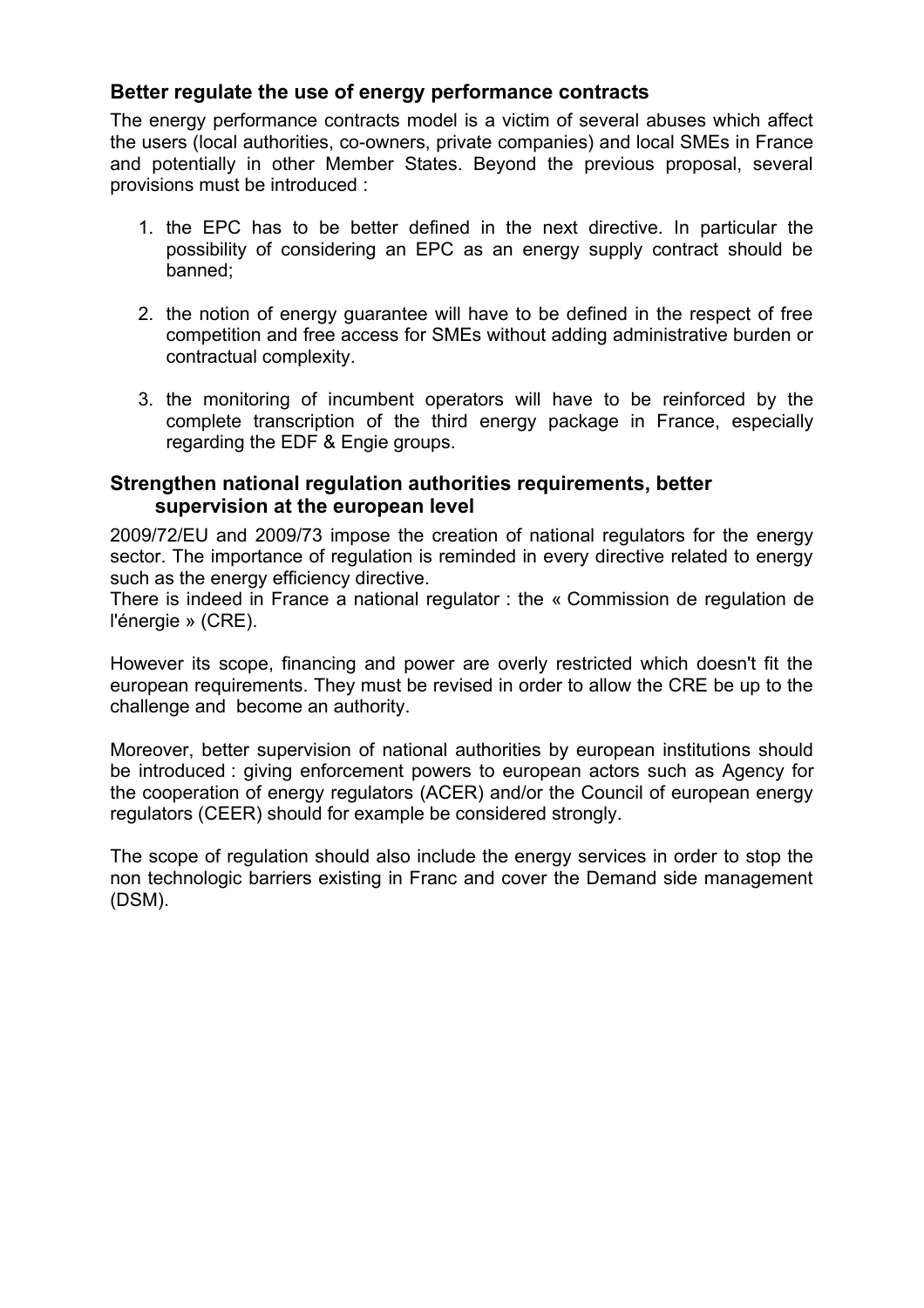#### **Better regulate the use of energy performance contracts**

The energy performance contracts model is a victim of several abuses which affect the users (local authorities, co-owners, private companies) and local SMEs in France and potentially in other Member States. Beyond the previous proposal, several provisions must be introduced :

- 1. the EPC has to be better defined in the next directive. In particular the possibility of considering an EPC as an energy supply contract should be banned;
- 2. the notion of energy guarantee will have to be defined in the respect of free competition and free access for SMEs without adding administrative burden or contractual complexity.
- 3. the monitoring of incumbent operators will have to be reinforced by the complete transcription of the third energy package in France, especially regarding the EDF & Engie groups.

#### **Strengthen national regulation authorities requirements, better supervision at the european level**

2009/72/EU and 2009/73 impose the creation of national regulators for the energy sector. The importance of regulation is reminded in every directive related to energy such as the energy efficiency directive.

There is indeed in France a national regulator : the « Commission de regulation de l'énergie » (CRE).

However its scope, financing and power are overly restricted which doesn't fit the european requirements. They must be revised in order to allow the CRE be up to the challenge and become an authority.

Moreover, better supervision of national authorities by european institutions should be introduced : giving enforcement powers to european actors such as Agency for the cooperation of energy regulators (ACER) and/or the Council of european energy regulators (CEER) should for example be considered strongly.

The scope of regulation should also include the energy services in order to stop the non technologic barriers existing in Franc and cover the Demand side management (DSM).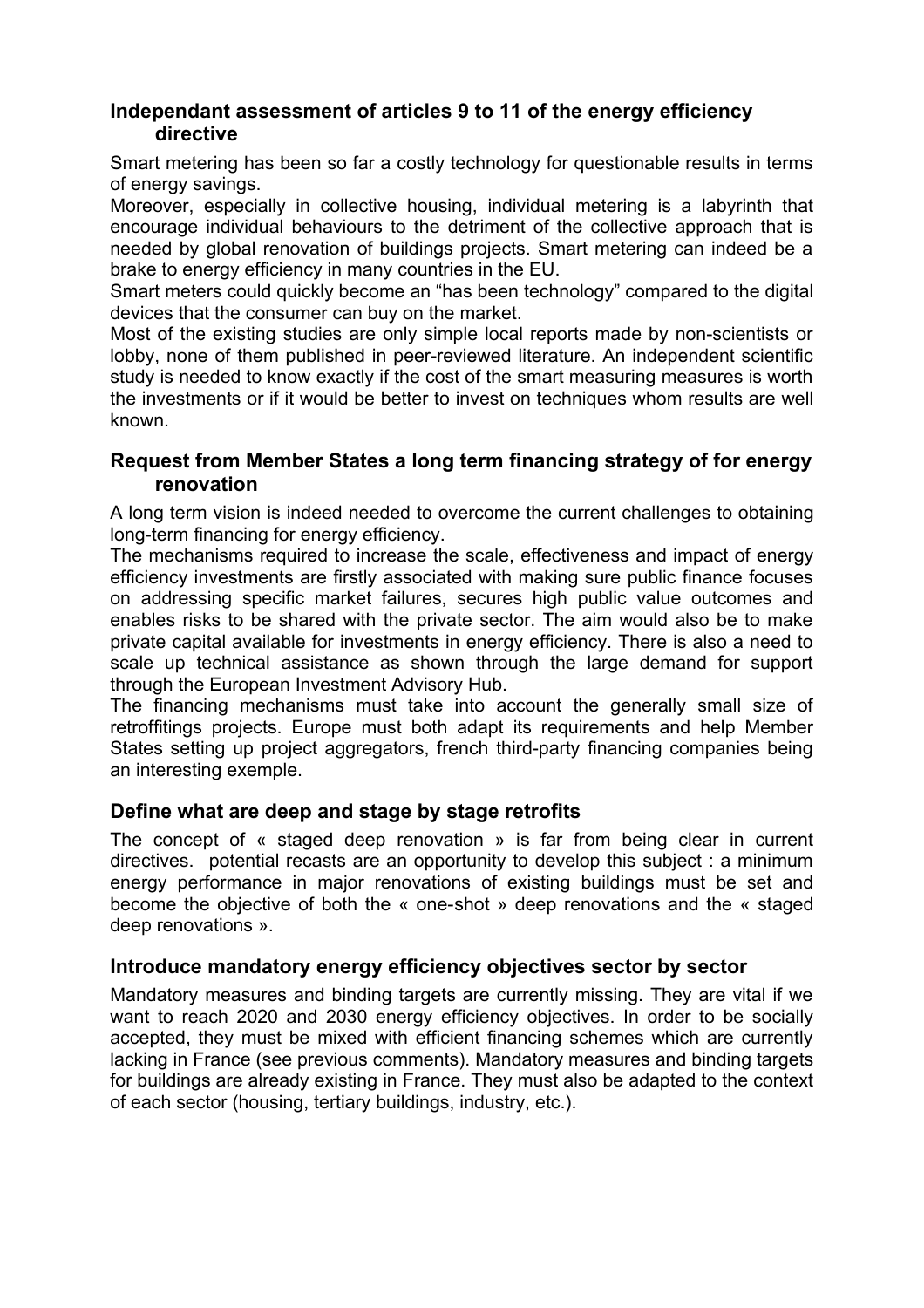#### **Independant assessment of articles 9 to 11 of the energy efficiency directive**

Smart metering has been so far a costly technology for questionable results in terms of energy savings.

Moreover, especially in collective housing, individual metering is a labyrinth that encourage individual behaviours to the detriment of the collective approach that is needed by global renovation of buildings projects. Smart metering can indeed be a brake to energy efficiency in many countries in the EU.

Smart meters could quickly become an "has been technology" compared to the digital devices that the consumer can buy on the market.

Most of the existing studies are only simple local reports made by non-scientists or lobby, none of them published in peer-reviewed literature. An independent scientific study is needed to know exactly if the cost of the smart measuring measures is worth the investments or if it would be better to invest on techniques whom results are well known.

#### **Request from Member States a long term financing strategy of for energy renovation**

A long term vision is indeed needed to overcome the current challenges to obtaining long-term financing for energy efficiency.

The mechanisms required to increase the scale, effectiveness and impact of energy efficiency investments are firstly associated with making sure public finance focuses on addressing specific market failures, secures high public value outcomes and enables risks to be shared with the private sector. The aim would also be to make private capital available for investments in energy efficiency. There is also a need to scale up technical assistance as shown through the large demand for support through the European Investment Advisory Hub.

The financing mechanisms must take into account the generally small size of retroffitings projects. Europe must both adapt its requirements and help Member States setting up project aggregators, french third-party financing companies being an interesting exemple.

#### **Define what are deep and stage by stage retrofits**

The concept of « staged deep renovation » is far from being clear in current directives. potential recasts are an opportunity to develop this subject : a minimum energy performance in major renovations of existing buildings must be set and become the objective of both the « one-shot » deep renovations and the « staged deep renovations ».

#### **Introduce mandatory energy efficiency objectives sector by sector**

Mandatory measures and binding targets are currently missing. They are vital if we want to reach 2020 and 2030 energy efficiency objectives. In order to be socially accepted, they must be mixed with efficient financing schemes which are currently lacking in France (see previous comments). Mandatory measures and binding targets for buildings are already existing in France. They must also be adapted to the context of each sector (housing, tertiary buildings, industry, etc.).